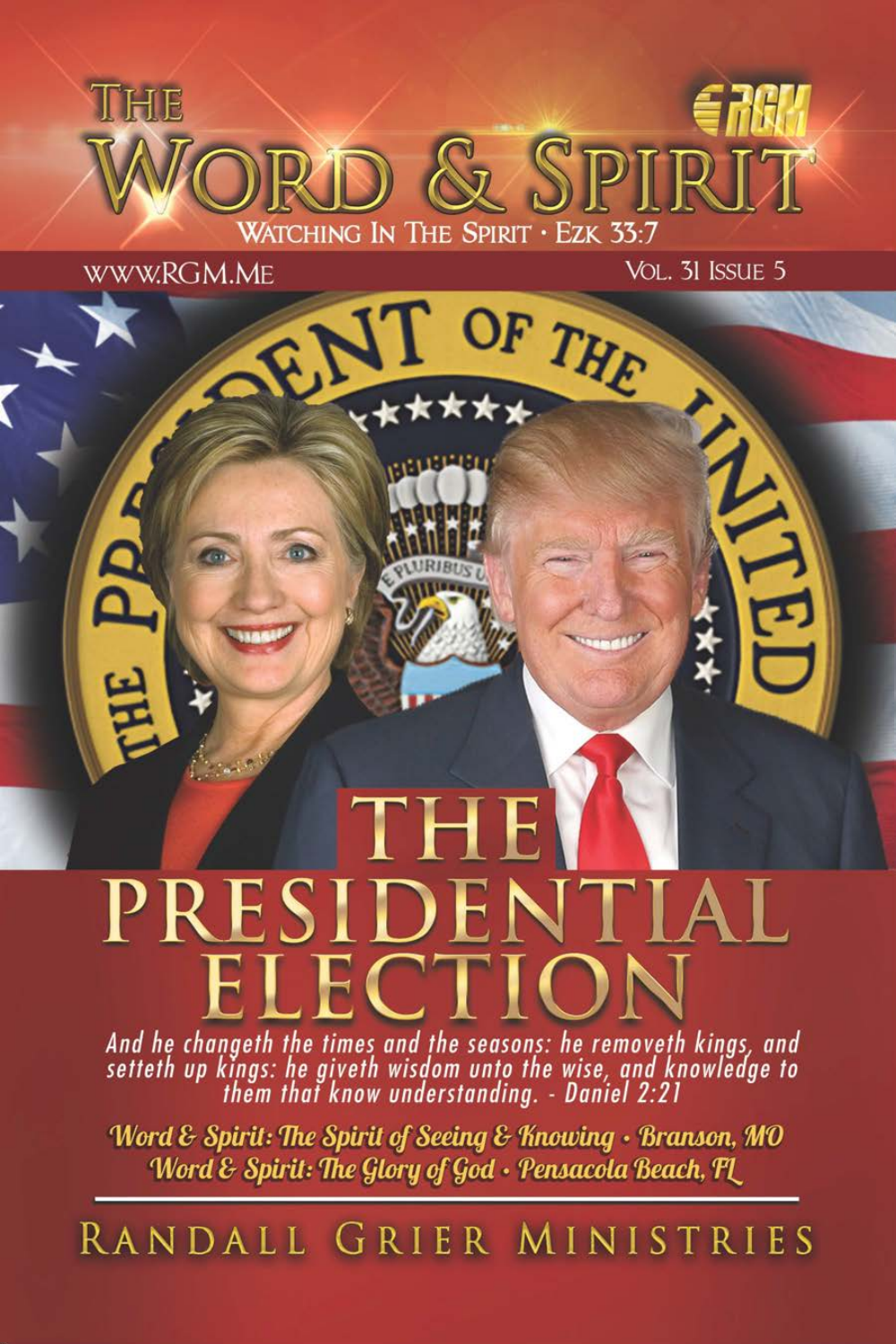

\*\*\*

**WWW.RGM.ME** 

VOL. 31 ISSUE 5 OF THE

# PRESII  $\overline{\phantom{a}}$

And he changeth the times and the seasons: he removeth kings, and<br>setteth up kings: he giveth wisdom unto the wise, and knowledge to<br>them that know understanding. - Daniel 2:21

Word & Spirit: The Spirit of Seeing & Knowing • Branson, MO Word & Spirit: The Glory of God · Pensacola Beach, FL

RANDALL GRIER MINISTRIES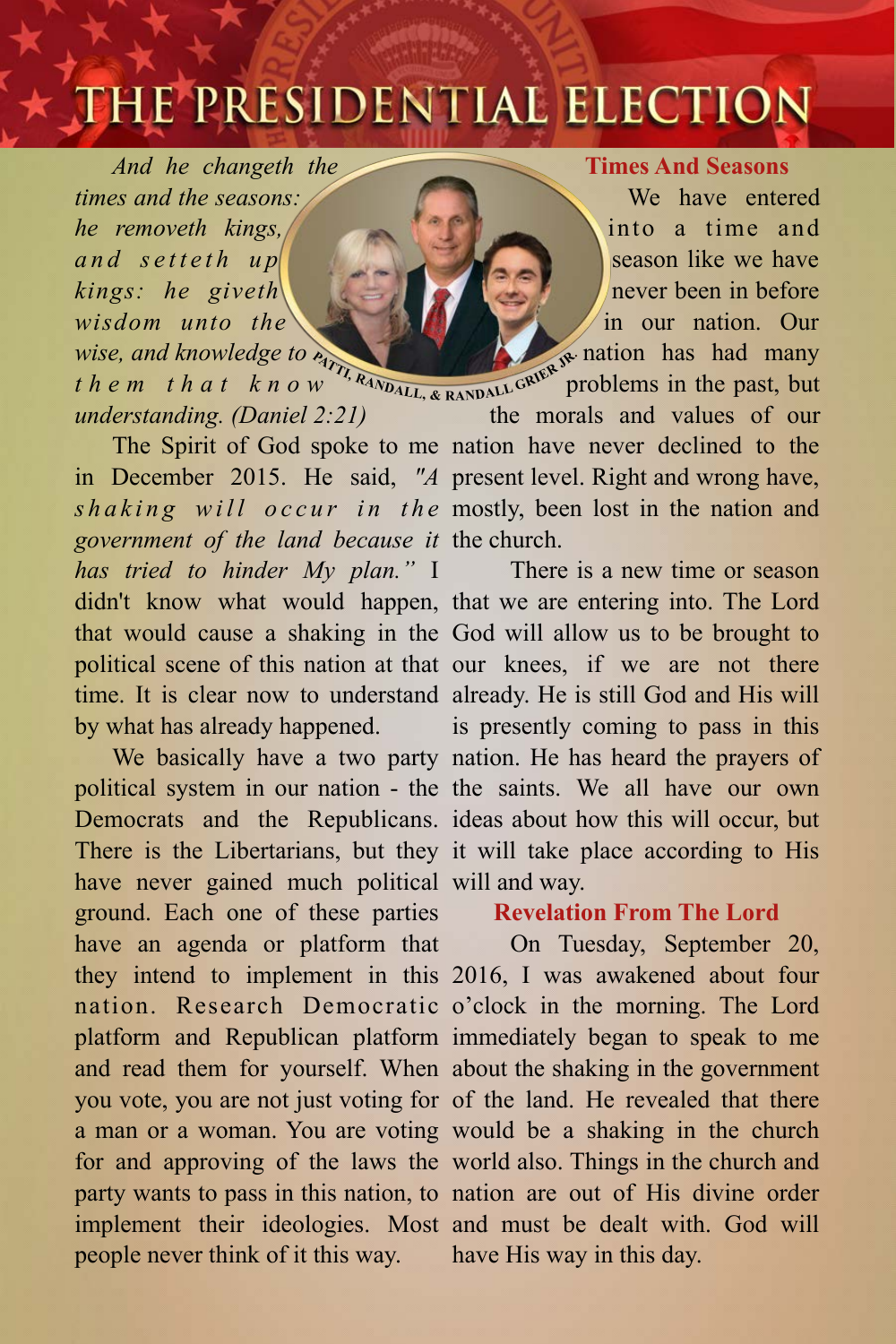## THE PRESIDENTIAL ELECTION

 *And he changeth the times and the seasons: he removeth kings, and setteth up kings: he giveth wisdom unto the wise, and knowledge to t h e m t h a t k n o w understanding. (Daniel 2:21)* 

*government of the land because it*  the church. *has tried to hinder My plan."* I by what has already happened.

have never gained much political will and way. ground. Each one of these parties people never think of it this way.

#### **Times And Seasons**

We have entered into a time and season like we have never been in before in our nation. Our nation has had many problems in the past, but

**The Spirit of God spoke to me nation have never declined to the** in December 2015. He said, *"A*  present level. Right and wrong have, shaking will occur in the mostly, been lost in the nation and the morals and values of our

didn't know what would happen, that we are entering into. The Lord that would cause a shaking in the God will allow us to be brought to political scene of this nation at that our knees, if we are not there time. It is clear now to understand already. He is still God and His will We basically have a two party nation. He has heard the prayers of political system in our nation - the the saints. We all have our own Democrats and the Republicans. ideas about how this will occur, but There is the Libertarians, but they it will take place according to His There is a new time or season is presently coming to pass in this

#### **Revelation From The Lord**

have an agenda or platform that On Tuesday, September 20, they intend to implement in this 2016, I was awakened about four nation. Research Democratic o'clock in the morning. The Lord platform and Republican platform immediately began to speak to me and read them for yourself. When about the shaking in the government you vote, you are not just voting for of the land. He revealed that there a man or a woman. You are voting would be a shaking in the church for and approving of the laws the world also. Things in the church and party wants to pass in this nation, to nation are out of His divine order implement their ideologies. Most and must be dealt with. God will have His way in this day.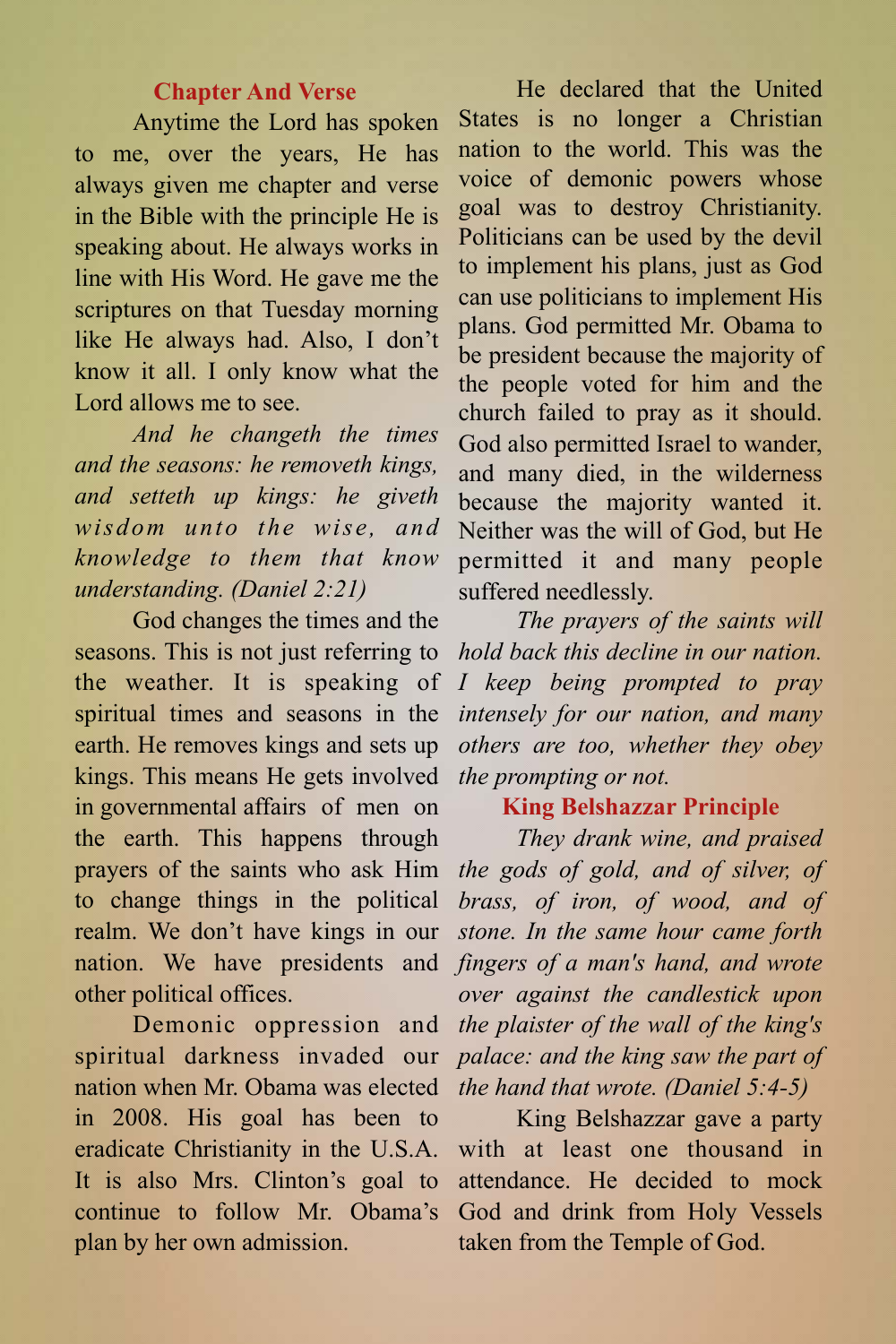#### **Chapter And Verse**

Anytime the Lord has spoken to me, over the years, He has always given me chapter and verse in the Bible with the principle He is speaking about. He always works in line with His Word. He gave me the scriptures on that Tuesday morning like He always had. Also, I don't know it all. I only know what the Lord allows me to see.

*And he changeth the times and the seasons: he removeth kings, and setteth up kings: he giveth wisdom unto the wise, and knowledge to them that know understanding. (Daniel 2:21)* 

God changes the times and the seasons. This is not just referring to the weather. It is speaking of spiritual times and seasons in the earth. He removes kings and sets up kings. This means He gets involved in governmental affairs of men on the earth. This happens through prayers of the saints who ask Him to change things in the political realm. We don't have kings in our nation. We have presidents and other political offices.

Demonic oppression and spiritual darkness invaded our nation when Mr. Obama was elected in 2008. His goal has been to eradicate Christianity in the U.S.A. It is also Mrs. Clinton's goal to continue to follow Mr. Obama's plan by her own admission.

He declared that the United States is no longer a Christian nation to the world. This was the voice of demonic powers whose goal was to destroy Christianity. Politicians can be used by the devil to implement his plans, just as God can use politicians to implement His plans. God permitted Mr. Obama to be president because the majority of the people voted for him and the church failed to pray as it should. God also permitted Israel to wander, and many died, in the wilderness because the majority wanted it. Neither was the will of God, but He permitted it and many people suffered needlessly.

*The prayers of the saints will hold back this decline in our nation. I keep being prompted to pray intensely for our nation, and many others are too, whether they obey the prompting or not.* 

#### **King Belshazzar Principle**

*They drank wine, and praised the gods of gold, and of silver, of brass, of iron, of wood, and of stone. In the same hour came forth fingers of a man's hand, and wrote over against the candlestick upon the plaister of the wall of the king's palace: and the king saw the part of the hand that wrote. (Daniel 5:4-5)* 

King Belshazzar gave a party with at least one thousand in attendance. He decided to mock God and drink from Holy Vessels taken from the Temple of God.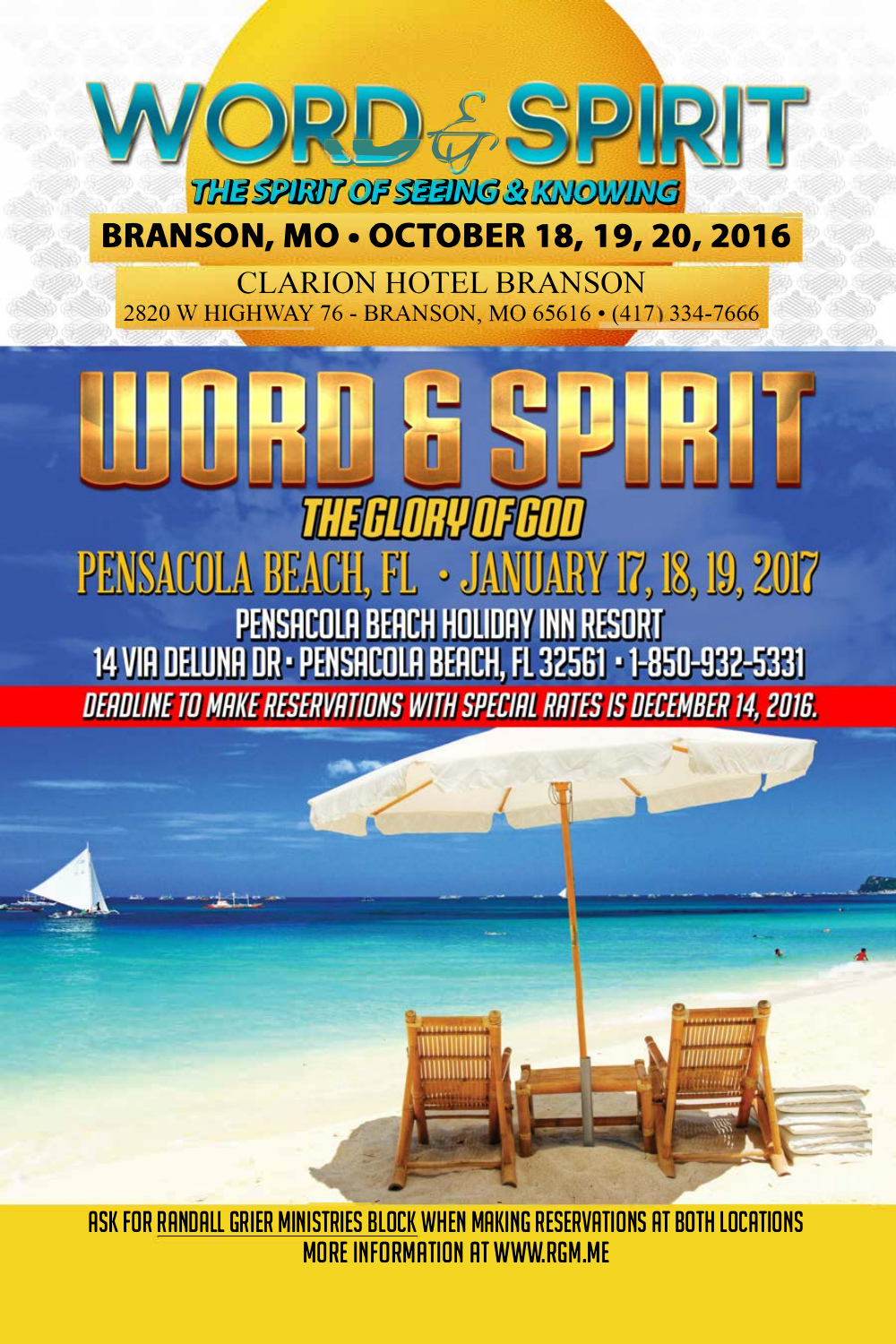

## **[BRANSON, MO• OCTOBER 18, 19, 20, 2016](http://rgm.me/word-spirit-october-branson/)**

CLARION HOTEL BRANSON 2820 W HIGHWAY 76 - BRANSON, MO 65616 • (417 334-7666

NRU 51 PENSACOLA BEACH, FL · JA VUARY 17, 18, 19, 2017 PENSACOLA BEACH HOLIDAY INN RESORT 14 VIA DELUNA DR - PENSACOLA BEACH, FL 32561 - 1-850-932-5331 DEADLINE TO MAKE RESERVATIONS WITH SPECIAL RATES IS DECEMBER 14, 2016.

- - RSK FOR RRNDRLL GRIER MINISTRIES BLOCK WHEN MRKING RESERVRTIONS RT BOTH LOCRTIONS MORE INFORMATION RT [WWW.RGM.ME](http://rgm.me/upcoming-word-spirit-dates/)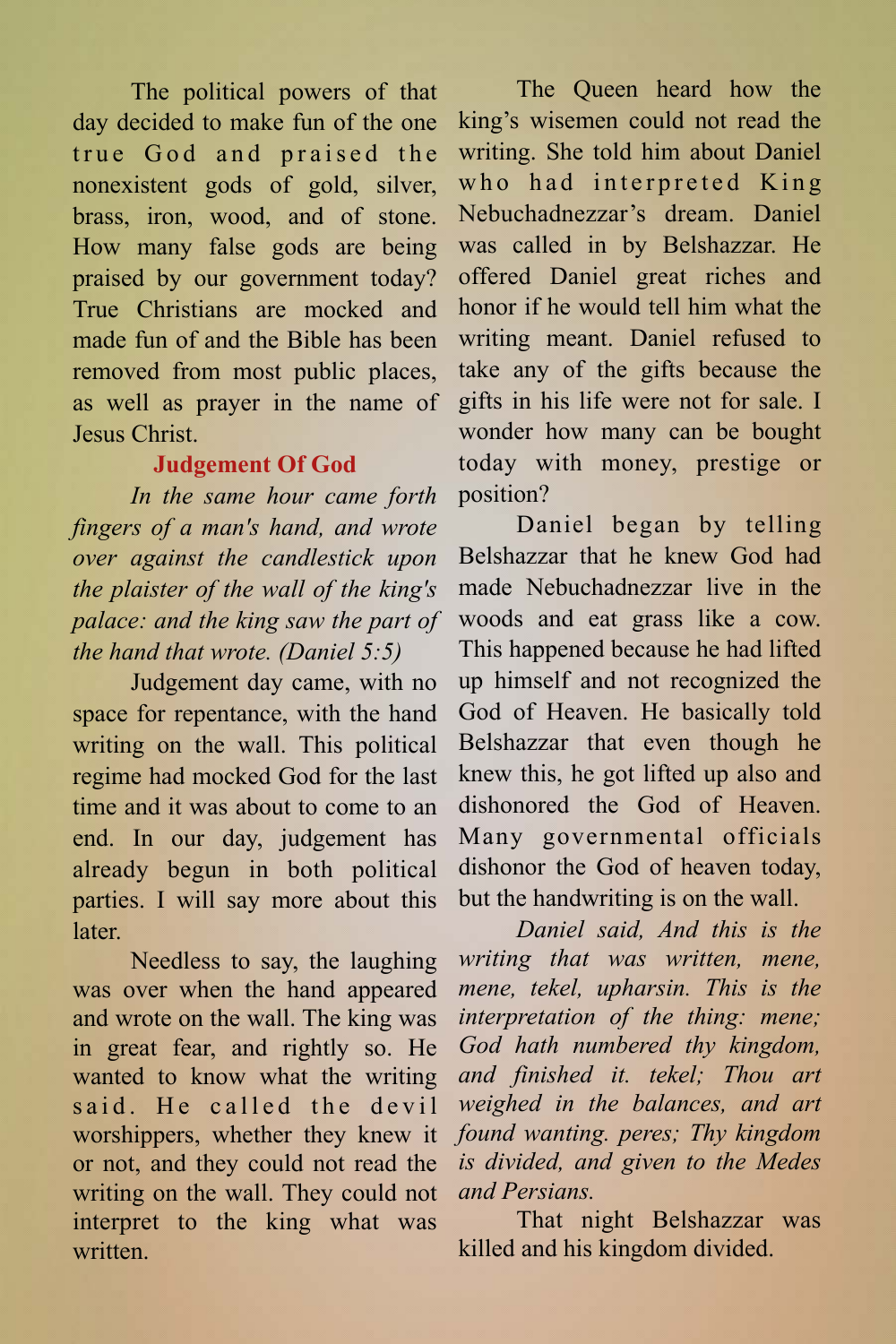The political powers of that day decided to make fun of the one true God and praised the nonexistent gods of gold, silver, brass, iron, wood, and of stone. How many false gods are being praised by our government today? True Christians are mocked and made fun of and the Bible has been removed from most public places, as well as prayer in the name of Jesus Christ.

#### **Judgement Of God**

*In the same hour came forth fingers of a man's hand, and wrote over against the candlestick upon the plaister of the wall of the king's palace: and the king saw the part of the hand that wrote. (Daniel 5:5)*

Judgement day came, with no space for repentance, with the hand writing on the wall. This political regime had mocked God for the last time and it was about to come to an end. In our day, judgement has already begun in both political parties. I will say more about this later.

Needless to say, the laughing was over when the hand appeared and wrote on the wall. The king was in great fear, and rightly so. He wanted to know what the writing said He called the devil worshippers, whether they knew it or not, and they could not read the writing on the wall. They could not interpret to the king what was written<sup>1</sup>

The Queen heard how the king's wisemen could not read the writing. She told him about Daniel who had interpreted King Nebuchadnezzar's dream. Daniel was called in by Belshazzar. He offered Daniel great riches and honor if he would tell him what the writing meant. Daniel refused to take any of the gifts because the gifts in his life were not for sale. I wonder how many can be bought today with money, prestige or position?

Daniel began by telling Belshazzar that he knew God had made Nebuchadnezzar live in the woods and eat grass like a cow. This happened because he had lifted up himself and not recognized the God of Heaven. He basically told Belshazzar that even though he knew this, he got lifted up also and dishonored the God of Heaven. Many governmental officials dishonor the God of heaven today, but the handwriting is on the wall.

*Daniel said, And this is the writing that was written, mene, mene, tekel, upharsin. This is the interpretation of the thing: mene; God hath numbered thy kingdom, and finished it. tekel; Thou art weighed in the balances, and art found wanting. peres; Thy kingdom is divided, and given to the Medes and Persians.* 

That night Belshazzar was killed and his kingdom divided.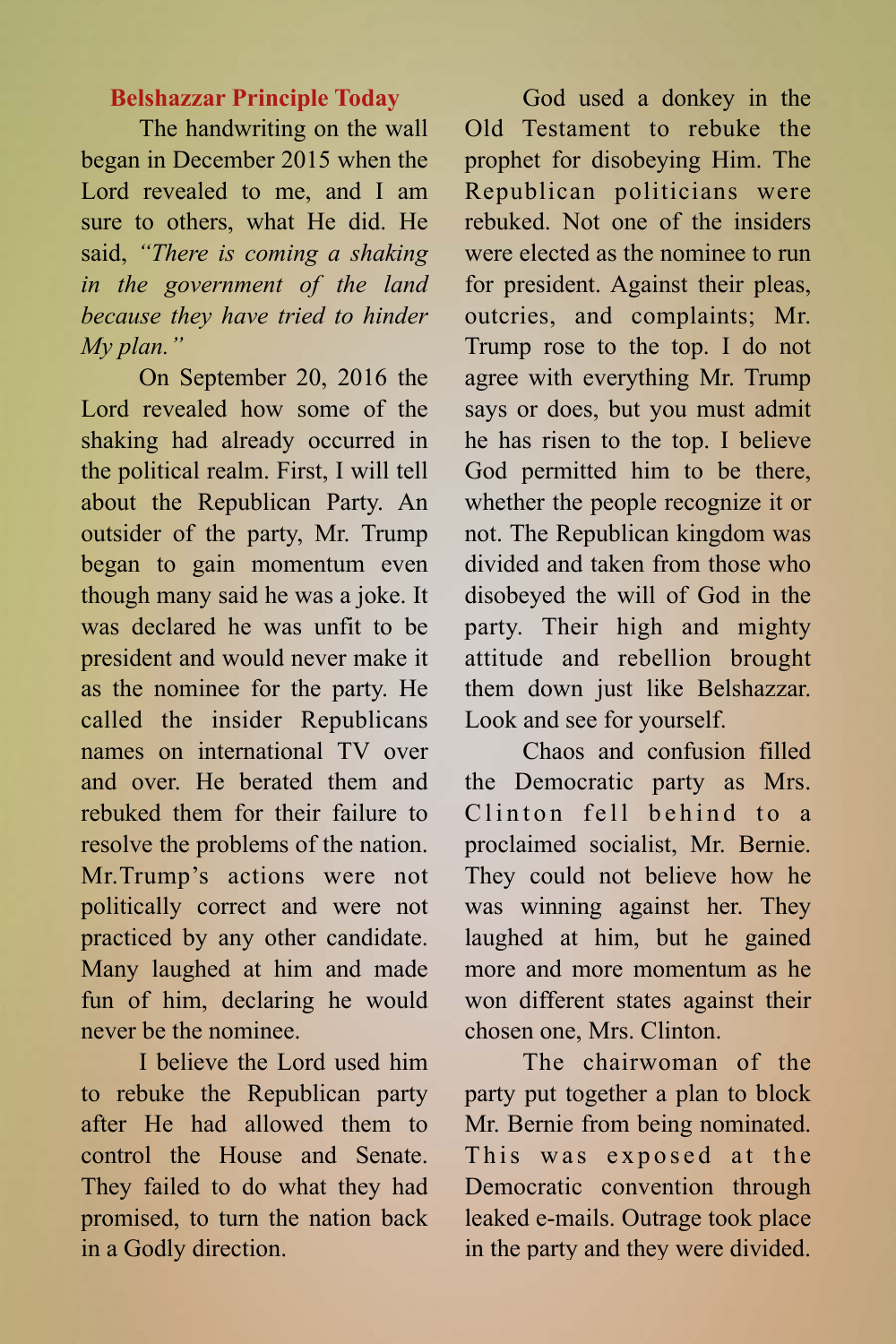#### **Belshazzar Principle Today**

The handwriting on the wall began in December 2015 when the Lord revealed to me, and I am sure to others, what He did. He said, *"There is coming a shaking in the government of the land because they have tried to hinder My plan."* 

On September 20, 2016 the Lord revealed how some of the shaking had already occurred in the political realm. First, I will tell about the Republican Party. An outsider of the party, Mr. Trump began to gain momentum even though many said he was a joke. It was declared he was unfit to be president and would never make it as the nominee for the party. He called the insider Republicans names on international TV over and over. He berated them and rebuked them for their failure to resolve the problems of the nation. Mr.Trump's actions were not politically correct and were not practiced by any other candidate. Many laughed at him and made fun of him, declaring he would never be the nominee.

I believe the Lord used him to rebuke the Republican party after He had allowed them to control the House and Senate. They failed to do what they had promised, to turn the nation back in a Godly direction.

God used a donkey in the Old Testament to rebuke the prophet for disobeying Him. The Republican politicians were rebuked. Not one of the insiders were elected as the nominee to run for president. Against their pleas, outcries, and complaints; Mr. Trump rose to the top. I do not agree with everything Mr. Trump says or does, but you must admit he has risen to the top. I believe God permitted him to be there, whether the people recognize it or not. The Republican kingdom was divided and taken from those who disobeyed the will of God in the party. Their high and mighty attitude and rebellion brought them down just like Belshazzar. Look and see for yourself.

Chaos and confusion filled the Democratic party as Mrs.  $Clinton$  fell behind to a proclaimed socialist, Mr. Bernie. They could not believe how he was winning against her. They laughed at him, but he gained more and more momentum as he won different states against their chosen one, Mrs. Clinton.

The chairwoman of the party put together a plan to block Mr. Bernie from being nominated. This was exposed at the Democratic convention through leaked e-mails. Outrage took place in the party and they were divided.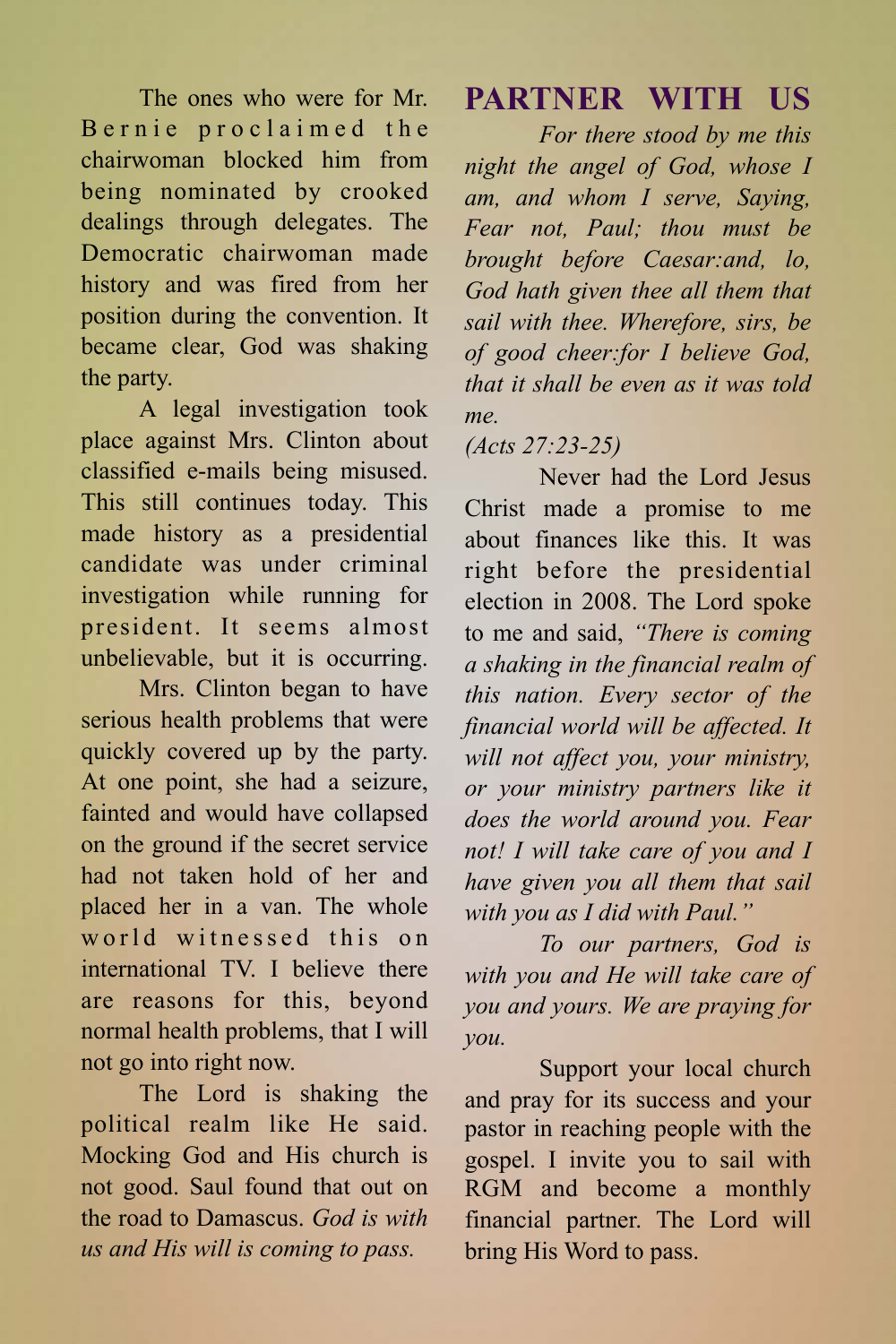The ones who were for Mr. Bernie proclaimed the chairwoman blocked him from being nominated by crooked dealings through delegates. The Democratic chairwoman made history and was fired from her position during the convention. It became clear, God was shaking the party.

A legal investigation took place against Mrs. Clinton about classified e-mails being misused. This still continues today. This made history as a presidential candidate was under criminal investigation while running for president. It seems almost unbelievable, but it is occurring.

Mrs. Clinton began to have serious health problems that were quickly covered up by the party. At one point, she had a seizure, fainted and would have collapsed on the ground if the secret service had not taken hold of her and placed her in a van. The whole world witnessed this on international TV. I believe there are reasons for this, beyond normal health problems, that I will not go into right now.

The Lord is shaking the political realm like He said. Mocking God and His church is not good. Saul found that out on the road to Damascus. *God is with us and His will is coming to pass.*

### **[PARTNER WITH US](http://rgm.me/partner/)**

*For there stood by me this night the angel of God, whose I am, and whom I serve, Saying, Fear not, Paul; thou must be brought before Caesar:and, lo, God hath given thee all them that sail with thee. Wherefore, sirs, be of good cheer:for I believe God, that it shall be even as it was told me.* 

#### *(Acts 27:23-25)*

Never had the Lord Jesus Christ made a promise to me about finances like this. It was right before the presidential election in 2008. The Lord spoke to me and said, *"There is coming a shaking in the financial realm of this nation. Every sector of the financial world will be affected. It will not affect you, your ministry, or your ministry partners like it does the world around you. Fear not! I will take care of you and I have given you all them that sail with you as I did with Paul."* 

*To our partners, God is with you and He will take care of you and yours. We are praying for you.*

Support your local church and pray for its success and your pastor in reaching people with the gospel. I invite you to sail with RGM and become a monthly financial partner. The Lord will bring His Word to pass.